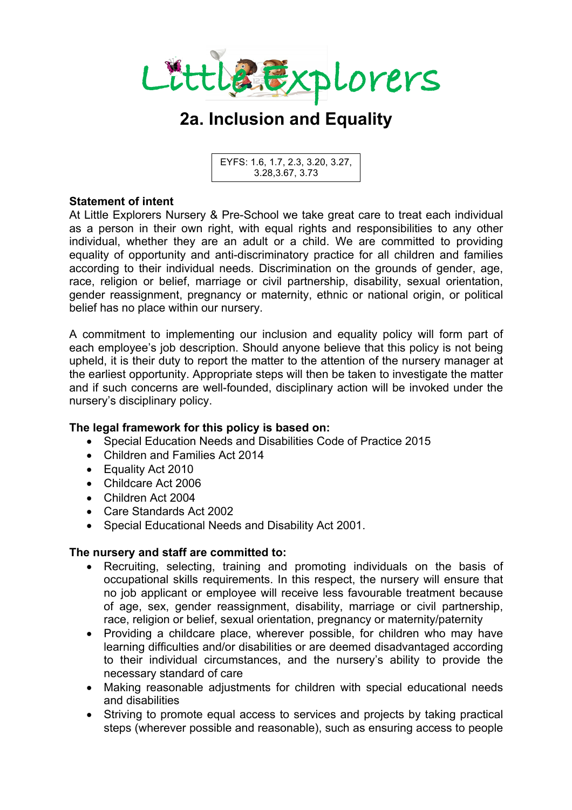

# **2a. Inclusion and Equality**

EYFS: 1.6, 1.7, 2.3, 3.20, 3.27, 3.28,3.67, 3.73

### **Statement of intent**

At Little Explorers Nursery & Pre-School we take great care to treat each individual as a person in their own right, with equal rights and responsibilities to any other individual, whether they are an adult or a child. We are committed to providing equality of opportunity and anti-discriminatory practice for all children and families according to their individual needs. Discrimination on the grounds of gender, age, race, religion or belief, marriage or civil partnership, disability, sexual orientation, gender reassignment, pregnancy or maternity, ethnic or national origin, or political belief has no place within our nursery.

A commitment to implementing our inclusion and equality policy will form part of each employee's job description. Should anyone believe that this policy is not being upheld, it is their duty to report the matter to the attention of the nursery manager at the earliest opportunity. Appropriate steps will then be taken to investigate the matter and if such concerns are well-founded, disciplinary action will be invoked under the nursery's disciplinary policy.

### **The legal framework for this policy is based on:**

- Special Education Needs and Disabilities Code of Practice 2015
- Children and Families Act 2014
- Equality Act 2010
- Childcare Act 2006
- Children Act 2004
- Care Standards Act 2002
- Special Educational Needs and Disability Act 2001.

### **The nursery and staff are committed to:**

- Recruiting, selecting, training and promoting individuals on the basis of occupational skills requirements. In this respect, the nursery will ensure that no job applicant or employee will receive less favourable treatment because of age, sex, gender reassignment, disability, marriage or civil partnership, race, religion or belief, sexual orientation, pregnancy or maternity/paternity
- Providing a childcare place, wherever possible, for children who may have learning difficulties and/or disabilities or are deemed disadvantaged according to their individual circumstances, and the nursery's ability to provide the necessary standard of care
- Making reasonable adjustments for children with special educational needs and disabilities
- Striving to promote equal access to services and projects by taking practical steps (wherever possible and reasonable), such as ensuring access to people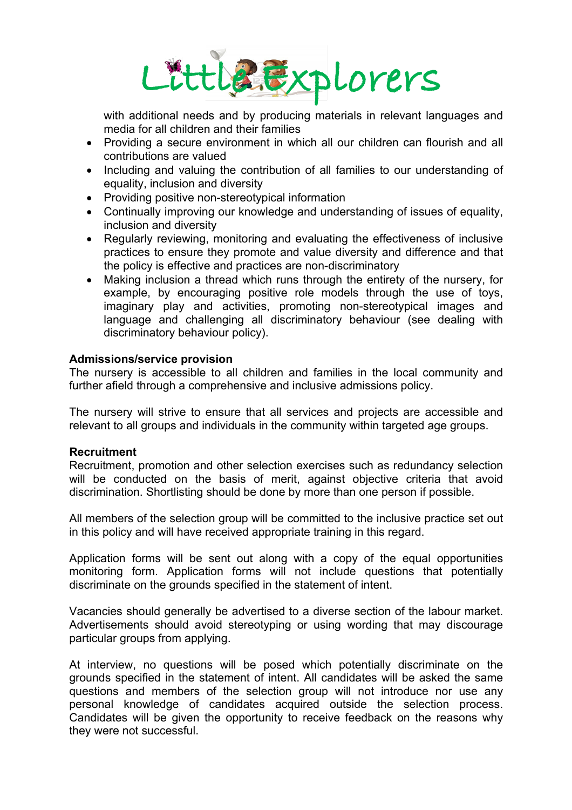

with additional needs and by producing materials in relevant languages and media for all children and their families

- Providing a secure environment in which all our children can flourish and all contributions are valued
- Including and valuing the contribution of all families to our understanding of equality, inclusion and diversity
- Providing positive non-stereotypical information
- Continually improving our knowledge and understanding of issues of equality, inclusion and diversity
- Regularly reviewing, monitoring and evaluating the effectiveness of inclusive practices to ensure they promote and value diversity and difference and that the policy is effective and practices are non-discriminatory
- Making inclusion a thread which runs through the entirety of the nursery, for example, by encouraging positive role models through the use of toys, imaginary play and activities, promoting non-stereotypical images and language and challenging all discriminatory behaviour (see dealing with discriminatory behaviour policy).

### **Admissions/service provision**

The nursery is accessible to all children and families in the local community and further afield through a comprehensive and inclusive admissions policy.

The nursery will strive to ensure that all services and projects are accessible and relevant to all groups and individuals in the community within targeted age groups.

#### **Recruitment**

Recruitment, promotion and other selection exercises such as redundancy selection will be conducted on the basis of merit, against objective criteria that avoid discrimination. Shortlisting should be done by more than one person if possible.

All members of the selection group will be committed to the inclusive practice set out in this policy and will have received appropriate training in this regard.

Application forms will be sent out along with a copy of the equal opportunities monitoring form. Application forms will not include questions that potentially discriminate on the grounds specified in the statement of intent.

Vacancies should generally be advertised to a diverse section of the labour market. Advertisements should avoid stereotyping or using wording that may discourage particular groups from applying.

At interview, no questions will be posed which potentially discriminate on the grounds specified in the statement of intent. All candidates will be asked the same questions and members of the selection group will not introduce nor use any personal knowledge of candidates acquired outside the selection process. Candidates will be given the opportunity to receive feedback on the reasons why they were not successful.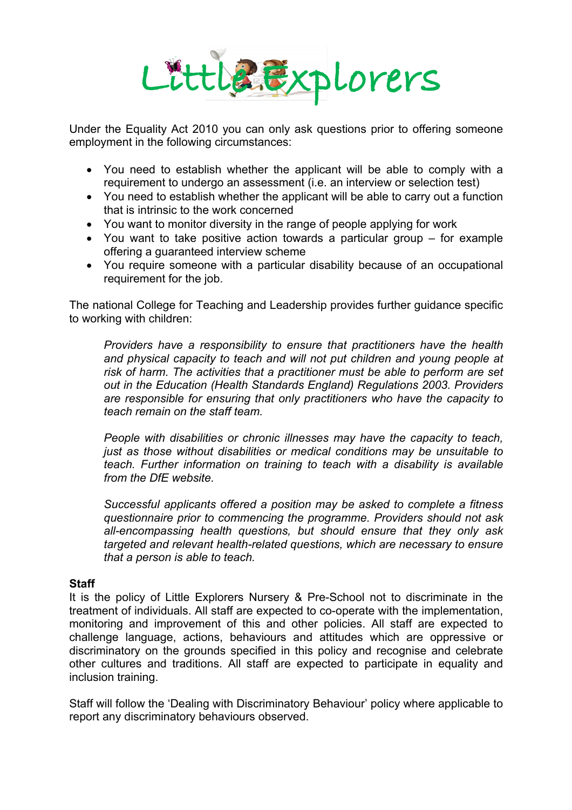

Under the Equality Act 2010 you can only ask questions prior to offering someone employment in the following circumstances:

- You need to establish whether the applicant will be able to comply with a requirement to undergo an assessment (i.e. an interview or selection test)
- You need to establish whether the applicant will be able to carry out a function that is intrinsic to the work concerned
- You want to monitor diversity in the range of people applying for work
- You want to take positive action towards a particular group for example offering a guaranteed interview scheme
- You require someone with a particular disability because of an occupational requirement for the job.

The national College for Teaching and Leadership provides further guidance specific to working with children:

*Providers have a responsibility to ensure that practitioners have the health and physical capacity to teach and will not put children and young people at risk of harm. The activities that a practitioner must be able to perform are set out in the Education (Health Standards England) Regulations 2003. Providers are responsible for ensuring that only practitioners who have the capacity to teach remain on the staff team.*

*People with disabilities or chronic illnesses may have the capacity to teach, just as those without disabilities or medical conditions may be unsuitable to teach. Further information on training to teach with a disability is available from the DfE website.*

*Successful applicants offered a position may be asked to complete a fitness questionnaire prior to commencing the programme. Providers should not ask all-encompassing health questions, but should ensure that they only ask targeted and relevant health-related questions, which are necessary to ensure that a person is able to teach.*

### **Staff**

It is the policy of Little Explorers Nursery & Pre-School not to discriminate in the treatment of individuals. All staff are expected to co-operate with the implementation, monitoring and improvement of this and other policies. All staff are expected to challenge language, actions, behaviours and attitudes which are oppressive or discriminatory on the grounds specified in this policy and recognise and celebrate other cultures and traditions. All staff are expected to participate in equality and inclusion training.

Staff will follow the 'Dealing with Discriminatory Behaviour' policy where applicable to report any discriminatory behaviours observed.